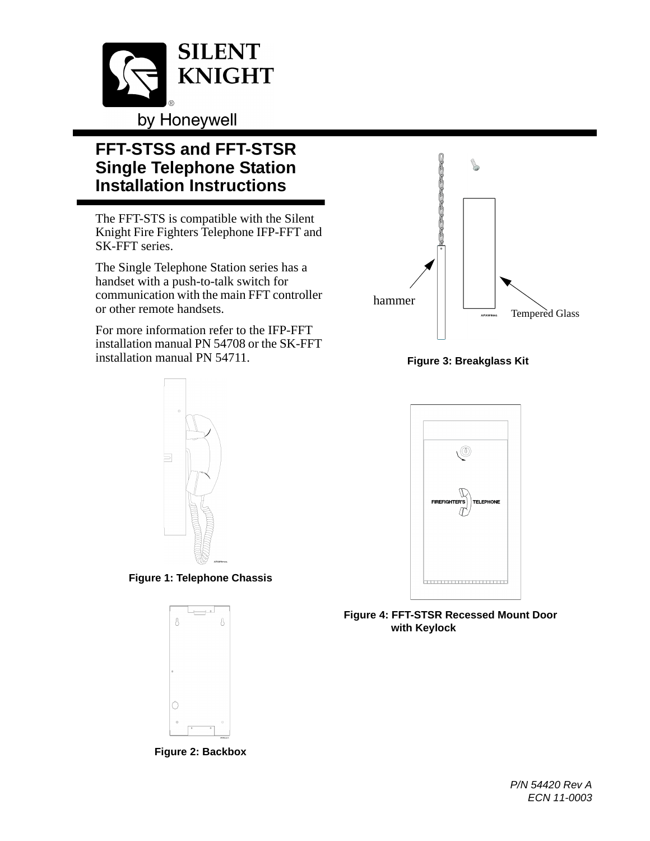

## **FFT-STSS and FFT-STSR Single Telephone Station Installation Instructions**

The FFT-STS is compatible with the Silent Knight Fire Fighters Telephone IFP-FFT and SK-FFT series.

The Single Telephone Station series has a handset with a push-to-talk switch for communication with the main FFT controller or other remote handsets.

For more information refer to the IFP-FFT installation manual PN 54708 or the SK-FFT installation manual PN 54711.



**Figure 1: Telephone Chassis**



**Figure 2: Backbox**



**Figure 3: Breakglass Kit**



**Figure 4: FFT-STSR Recessed Mount Door with Keylock**